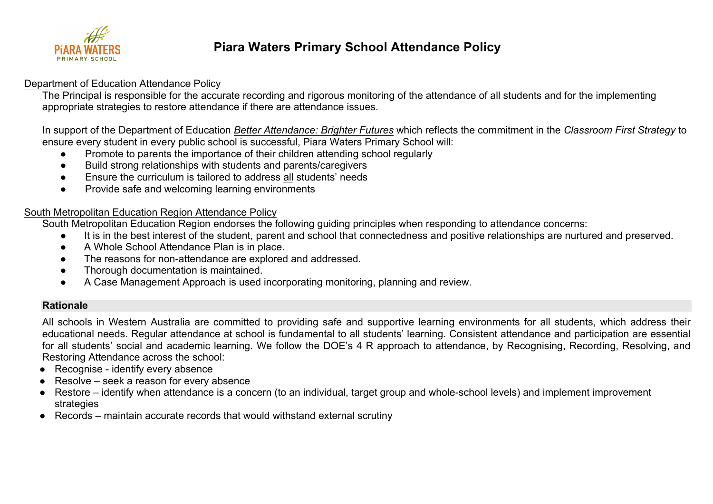

# **Piara Waters Primary School Attendance Policy**

#### Department of Education Attendance Policy

The Principal is responsible for the accurate recording and rigorous monitoring of the attendance of all students and for the implementing appropriate strategies to restore attendance if there are attendance issues.

In support of the Department of Education *Better Attendance: Brighter Futures* which reflects the commitment in the *Classroom First Strategy* to ensure every student in every public school is successful, Piara Waters Primary School will:

- Promote to parents the importance of their children attending school regularly
- Build strong relationships with students and parents/caregivers
- Ensure the curriculum is tailored to address all students' needs
- Provide safe and welcoming learning environments

#### South Metropolitan Education Region Attendance Policy

South Metropolitan Education Region endorses the following guiding principles when responding to attendance concerns:

- It is in the best interest of the student, parent and school that connectedness and positive relationships are nurtured and preserved.
- A Whole School Attendance Plan is in place.
- The reasons for non-attendance are explored and addressed.
- Thorough documentation is maintained.
- A Case Management Approach is used incorporating monitoring, planning and review.

#### **Rationale**

All schools in Western Australia are committed to providing safe and supportive learning environments for all students, which address their educational needs. Regular attendance at school is fundamental to all students' learning. Consistent attendance and participation are essential for all students' social and academic learning. We follow the DOE's 4 R approach to attendance, by Recognising, Recording, Resolving, and Restoring Attendance across the school:

- Recognise identify every absence
- Resolve seek a reason for every absence
- Restore identify when attendance is a concern (to an individual, target group and whole-school levels) and implement improvement strategies
- Records maintain accurate records that would withstand external scrutiny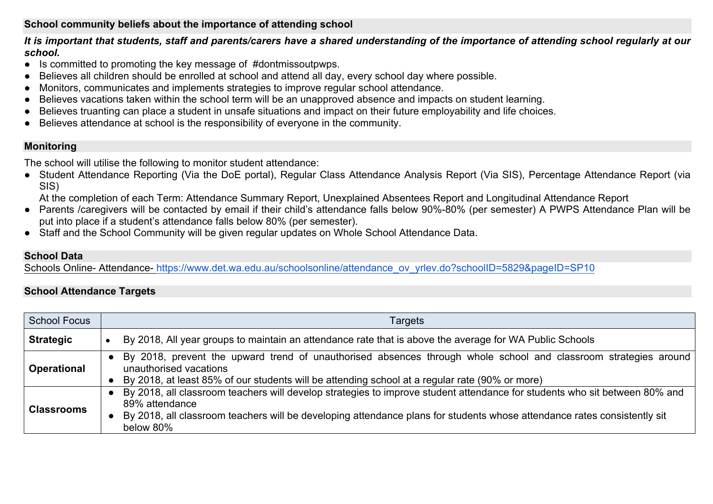# **School community beliefs about the importance of attending school**

*It is important that students, staff and parents/carers have a shared understanding of the importance of attending school regularly at our school.*

- Is committed to promoting the key message of #dontmissoutpwps.
- Believes all children should be enrolled at school and attend all day, every school day where possible.
- Monitors, communicates and implements strategies to improve regular school attendance.
- Believes vacations taken within the school term will be an unapproved absence and impacts on student learning.
- Believes truanting can place a student in unsafe situations and impact on their future employability and life choices.
- Believes attendance at school is the responsibility of everyone in the community.

# **Monitoring**

The school will utilise the following to monitor student attendance:

● Student Attendance Reporting (Via the DoE portal), Regular Class Attendance Analysis Report (Via SIS), Percentage Attendance Report (via SIS)

At the completion of each Term: Attendance Summary Report, Unexplained Absentees Report and Longitudinal Attendance Report

- Parents /caregivers will be contacted by email if their child's attendance falls below 90%-80% (per semester) A PWPS Attendance Plan will be put into place if a student's attendance falls below 80% (per semester).
- Staff and the School Community will be given regular updates on Whole School Attendance Data.

# **School Data**

Schools Online- Attendance- https://www.det.wa.edu.au/schoolsonline/attendance\_ov\_yrlev.do?schoolID=5829&pageID=SP10

# **School Attendance Targets**

| <b>School Focus</b> | Targets                                                                                                                                                                                                                                                                               |
|---------------------|---------------------------------------------------------------------------------------------------------------------------------------------------------------------------------------------------------------------------------------------------------------------------------------|
| <b>Strategic</b>    | By 2018, All year groups to maintain an attendance rate that is above the average for WA Public Schools                                                                                                                                                                               |
| <b>Operational</b>  | By 2018, prevent the upward trend of unauthorised absences through whole school and classroom strategies around<br>unauthorised vacations<br>By 2018, at least 85% of our students will be attending school at a regular rate (90% or more)                                           |
| <b>Classrooms</b>   | By 2018, all classroom teachers will develop strategies to improve student attendance for students who sit between 80% and<br>89% attendance<br>By 2018, all classroom teachers will be developing attendance plans for students whose attendance rates consistently sit<br>below 80% |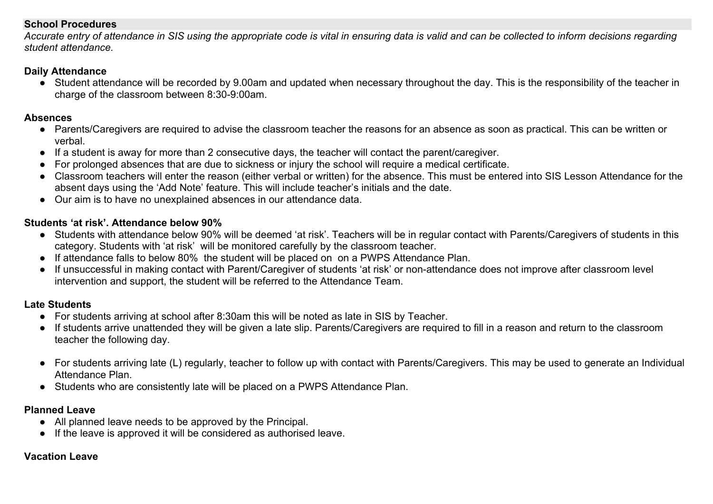#### **School Procedures**

*Accurate entry of attendance in SIS using the appropriate code is vital in ensuring data is valid and can be collected to inform decisions regarding student attendance.*

#### **Daily Attendance**

● Student attendance will be recorded by 9.00am and updated when necessary throughout the day. This is the responsibility of the teacher in charge of the classroom between 8:30-9:00am.

#### **Absences**

- Parents/Caregivers are required to advise the classroom teacher the reasons for an absence as soon as practical. This can be written or verbal.
- If a student is away for more than 2 consecutive days, the teacher will contact the parent/caregiver.
- For prolonged absences that are due to sickness or injury the school will require a medical certificate.
- Classroom teachers will enter the reason (either verbal or written) for the absence. This must be entered into SIS Lesson Attendance for the absent days using the 'Add Note' feature. This will include teacher's initials and the date.
- Our aim is to have no unexplained absences in our attendance data.

# **Students 'at risk'. Attendance below 90%**

- Students with attendance below 90% will be deemed 'at risk'. Teachers will be in regular contact with Parents/Caregivers of students in this category. Students with 'at risk' will be monitored carefully by the classroom teacher.
- If attendance falls to below 80% the student will be placed on on a PWPS Attendance Plan.
- If unsuccessful in making contact with Parent/Caregiver of students 'at risk' or non-attendance does not improve after classroom level intervention and support, the student will be referred to the Attendance Team.

# **Late Students**

- For students arriving at school after 8:30am this will be noted as late in SIS by Teacher.
- If students arrive unattended they will be given a late slip. Parents/Caregivers are required to fill in a reason and return to the classroom teacher the following day.
- For students arriving late (L) regularly, teacher to follow up with contact with Parents/Caregivers. This may be used to generate an Individual Attendance Plan.
- Students who are consistently late will be placed on a PWPS Attendance Plan.

# **Planned Leave**

- All planned leave needs to be approved by the Principal.
- If the leave is approved it will be considered as authorised leave.

# **Vacation Leave**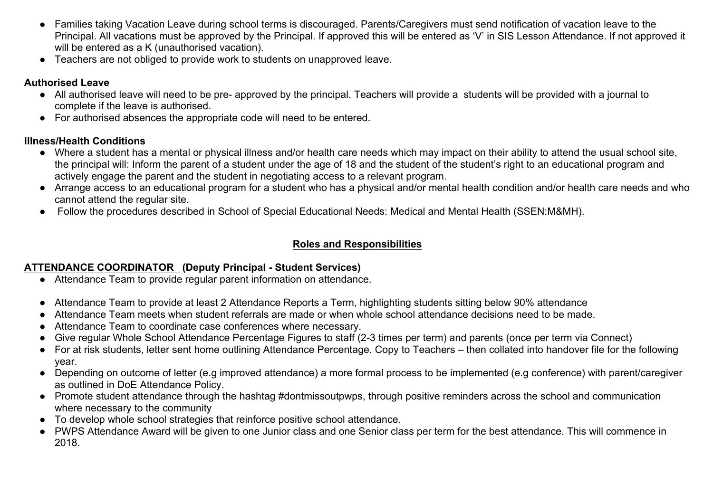- Families taking Vacation Leave during school terms is discouraged. Parents/Caregivers must send notification of vacation leave to the Principal. All vacations must be approved by the Principal. If approved this will be entered as 'V' in SIS Lesson Attendance. If not approved it will be entered as a K (unauthorised vacation).
- Teachers are not obliged to provide work to students on unapproved leave.

# **Authorised Leave**

- All authorised leave will need to be pre- approved by the principal. Teachers will provide a students will be provided with a journal to complete if the leave is authorised.
- For authorised absences the appropriate code will need to be entered.

# **Illness/Health Conditions**

- Where a student has a mental or physical illness and/or health care needs which may impact on their ability to attend the usual school site, the principal will: Inform the parent of a student under the age of 18 and the student of the student's right to an educational program and actively engage the parent and the student in negotiating access to a relevant program.
- Arrange access to an educational program for a student who has a physical and/or mental health condition and/or health care needs and who cannot attend the regular site.
- Follow the procedures described in School of Special Educational Needs: Medical and Mental Health (SSEN:M&MH).

# **Roles and Responsibilities**

# **ATTENDANCE COORDINATOR (Deputy Principal - Student Services)**

- Attendance Team to provide regular parent information on attendance.
- Attendance Team to provide at least 2 Attendance Reports a Term, highlighting students sitting below 90% attendance
- Attendance Team meets when student referrals are made or when whole school attendance decisions need to be made.
- Attendance Team to coordinate case conferences where necessary.
- Give regular Whole School Attendance Percentage Figures to staff (2-3 times per term) and parents (once per term via Connect)
- For at risk students, letter sent home outlining Attendance Percentage. Copy to Teachers then collated into handover file for the following year.
- Depending on outcome of letter (e.g improved attendance) a more formal process to be implemented (e.g conference) with parent/caregiver as outlined in DoE Attendance Policy.
- Promote student attendance through the hashtag #dontmissoutpwps, through positive reminders across the school and communication where necessary to the community
- To develop whole school strategies that reinforce positive school attendance.
- PWPS Attendance Award will be given to one Junior class and one Senior class per term for the best attendance. This will commence in 2018.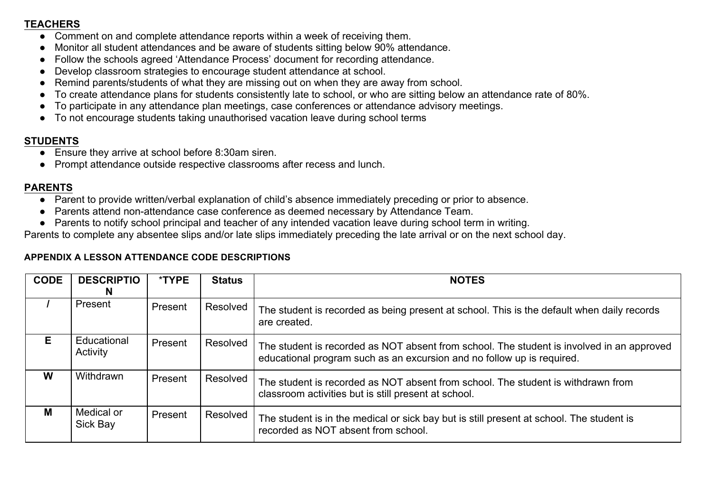#### **TEACHERS**

- Comment on and complete attendance reports within a week of receiving them.
- Monitor all student attendances and be aware of students sitting below 90% attendance.
- Follow the schools agreed 'Attendance Process' document for recording attendance.
- Develop classroom strategies to encourage student attendance at school.
- Remind parents/students of what they are missing out on when they are away from school.
- To create attendance plans for students consistently late to school, or who are sitting below an attendance rate of 80%.
- To participate in any attendance plan meetings, case conferences or attendance advisory meetings.
- To not encourage students taking unauthorised vacation leave during school terms

# **STUDENTS**

- Ensure they arrive at school before 8:30am siren.
- Prompt attendance outside respective classrooms after recess and lunch.

#### **PARENTS**

- Parent to provide written/verbal explanation of child's absence immediately preceding or prior to absence.
- Parents attend non-attendance case conference as deemed necessary by Attendance Team.
- Parents to notify school principal and teacher of any intended vacation leave during school term in writing.

Parents to complete any absentee slips and/or late slips immediately preceding the late arrival or on the next school day.

#### **APPENDIX A LESSON ATTENDANCE CODE DESCRIPTIONS**

| <b>CODE</b> | <b>DESCRIPTIO</b><br>N  | *TYPE   | <b>Status</b> | <b>NOTES</b>                                                                                                                                                        |
|-------------|-------------------------|---------|---------------|---------------------------------------------------------------------------------------------------------------------------------------------------------------------|
|             | Present                 | Present | Resolved      | The student is recorded as being present at school. This is the default when daily records<br>are created.                                                          |
| E.          | Educational<br>Activity | Present | Resolved      | The student is recorded as NOT absent from school. The student is involved in an approved<br>educational program such as an excursion and no follow up is required. |
| W           | Withdrawn               | Present | Resolved      | The student is recorded as NOT absent from school. The student is withdrawn from<br>classroom activities but is still present at school.                            |
| М           | Medical or<br>Sick Bay  | Present | Resolved      | The student is in the medical or sick bay but is still present at school. The student is<br>recorded as NOT absent from school.                                     |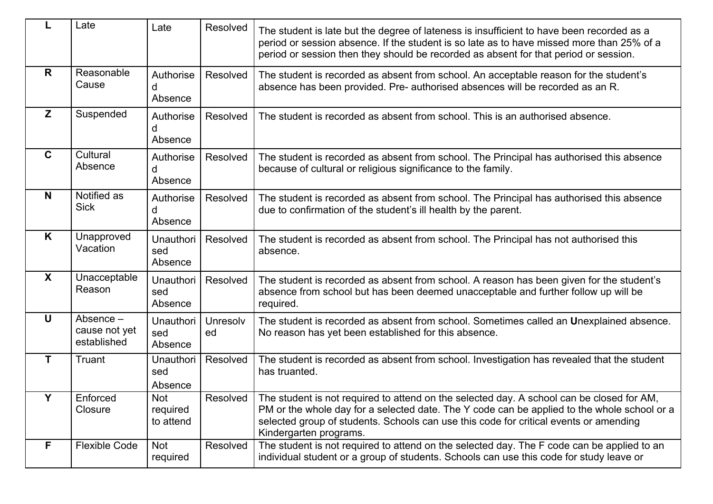|                  | Late                                      | Late                               | Resolved       | The student is late but the degree of lateness is insufficient to have been recorded as a<br>period or session absence. If the student is so late as to have missed more than 25% of a<br>period or session then they should be recorded as absent for that period or session.                              |
|------------------|-------------------------------------------|------------------------------------|----------------|-------------------------------------------------------------------------------------------------------------------------------------------------------------------------------------------------------------------------------------------------------------------------------------------------------------|
| R                | Reasonable<br>Cause                       | Authorise<br>Absence               | Resolved       | The student is recorded as absent from school. An acceptable reason for the student's<br>absence has been provided. Pre- authorised absences will be recorded as an R.                                                                                                                                      |
| Z                | Suspended                                 | Authorise<br>Absence               | Resolved       | The student is recorded as absent from school. This is an authorised absence.                                                                                                                                                                                                                               |
| $\mathbf C$      | Cultural<br>Absence                       | Authorise<br>d<br>Absence          | Resolved       | The student is recorded as absent from school. The Principal has authorised this absence<br>because of cultural or religious significance to the family.                                                                                                                                                    |
| N                | Notified as<br><b>Sick</b>                | Authorise<br>d<br>Absence          | Resolved       | The student is recorded as absent from school. The Principal has authorised this absence<br>due to confirmation of the student's ill health by the parent.                                                                                                                                                  |
| K                | Unapproved<br>Vacation                    | <b>Unauthori</b><br>sed<br>Absence | Resolved       | The student is recorded as absent from school. The Principal has not authorised this<br>absence.                                                                                                                                                                                                            |
| $\boldsymbol{X}$ | Unacceptable<br>Reason                    | <b>Unauthori</b><br>sed<br>Absence | Resolved       | The student is recorded as absent from school. A reason has been given for the student's<br>absence from school but has been deemed unacceptable and further follow up will be<br>required.                                                                                                                 |
| $\mathbf U$      | Absence -<br>cause not yet<br>established | <b>Unauthori</b><br>sed<br>Absence | Unresolv<br>ed | The student is recorded as absent from school. Sometimes called an Unexplained absence.<br>No reason has yet been established for this absence.                                                                                                                                                             |
| $\mathbf T$      | Truant                                    | Unauthori<br>sed<br>Absence        | Resolved       | The student is recorded as absent from school. Investigation has revealed that the student<br>has truanted.                                                                                                                                                                                                 |
| Y                | Enforced<br>Closure                       | Not<br>required<br>to attend       | Resolved       | The student is not required to attend on the selected day. A school can be closed for AM,<br>PM or the whole day for a selected date. The Y code can be applied to the whole school or a<br>selected group of students. Schools can use this code for critical events or amending<br>Kindergarten programs. |
| F.               | <b>Flexible Code</b>                      | Not<br>required                    | Resolved       | The student is not required to attend on the selected day. The F code can be applied to an<br>individual student or a group of students. Schools can use this code for study leave or                                                                                                                       |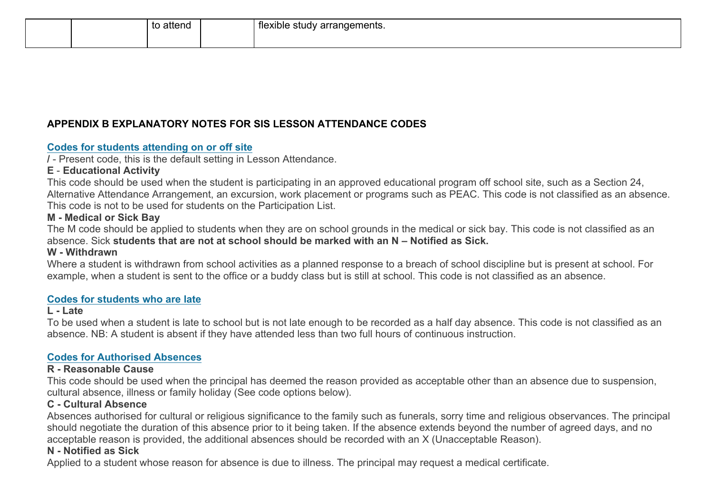# **APPENDIX B EXPLANATORY NOTES FOR SIS LESSON ATTENDANCE CODES**

#### **Codes for students attending on or off site**

**/** - Present code, this is the default setting in Lesson Attendance.

# **E** - **Educational Activity**

This code should be used when the student is participating in an approved educational program off school site, such as a Section 24, Alternative Attendance Arrangement, an excursion, work placement or programs such as PEAC. This code is not classified as an absence. This code is not to be used for students on the Participation List.

# **M - Medical or Sick Bay**

The M code should be applied to students when they are on school grounds in the medical or sick bay. This code is not classified as an absence. Sick **students that are not at school should be marked with an N – Notified as Sick.**

#### **W - Withdrawn**

Where a student is withdrawn from school activities as a planned response to a breach of school discipline but is present at school. For example, when a student is sent to the office or a buddy class but is still at school. This code is not classified as an absence.

#### **Codes for students who are late**

#### **L - Late**

To be used when a student is late to school but is not late enough to be recorded as a half day absence. This code is not classified as an absence. NB: A student is absent if they have attended less than two full hours of continuous instruction.

# **Codes for Authorised Absences**

# **R - Reasonable Cause**

This code should be used when the principal has deemed the reason provided as acceptable other than an absence due to suspension, cultural absence, illness or family holiday (See code options below).

# **C - Cultural Absence**

Absences authorised for cultural or religious significance to the family such as funerals, sorry time and religious observances. The principal should negotiate the duration of this absence prior to it being taken. If the absence extends beyond the number of agreed days, and no acceptable reason is provided, the additional absences should be recorded with an X (Unacceptable Reason).

# **N - Notified as Sick**

Applied to a student whose reason for absence is due to illness. The principal may request a medical certificate.